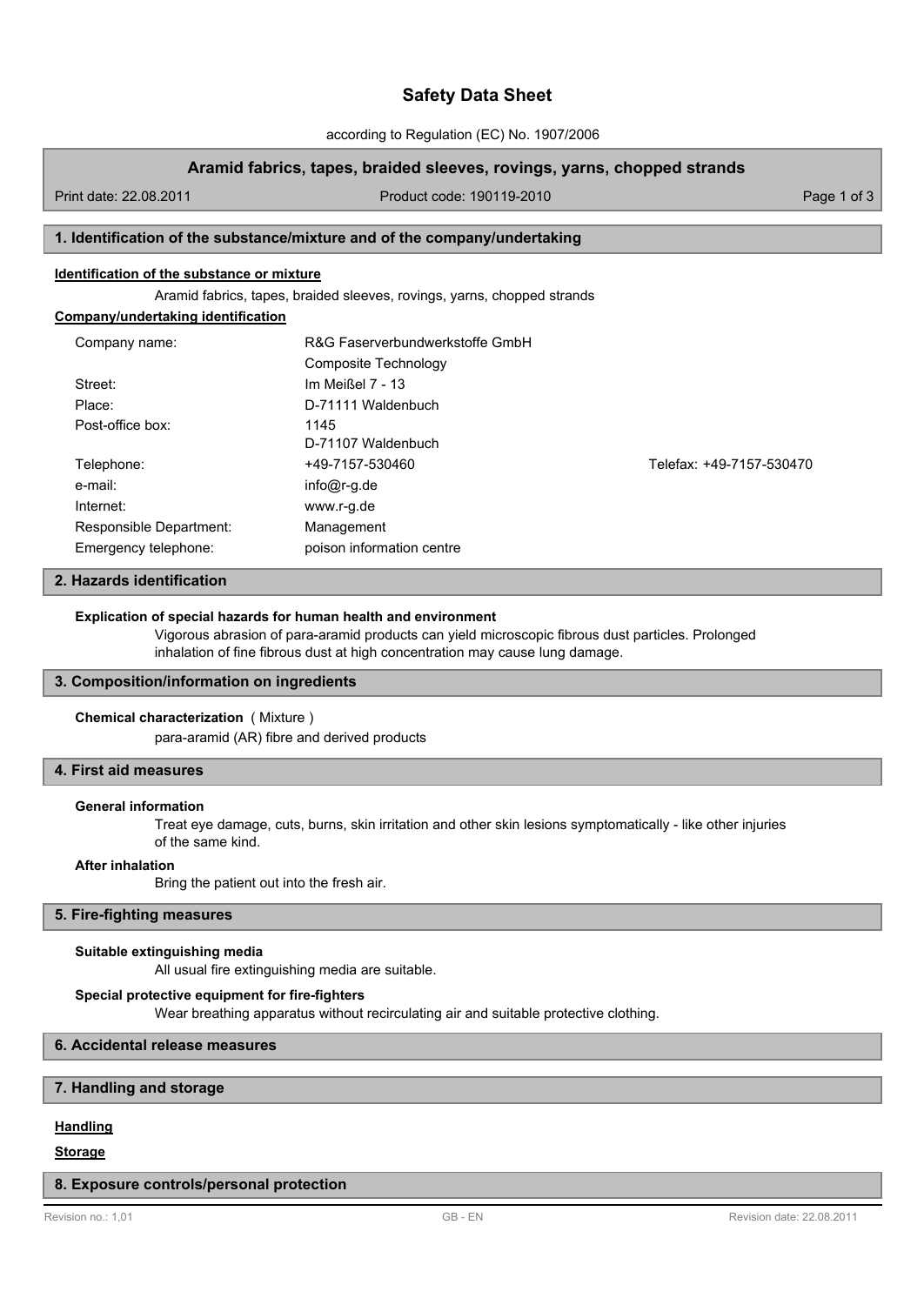# **Safety Data Sheet**

according to Regulation (EC) No. 1907/2006

## **Aramid fabrics, tapes, braided sleeves, rovings, yarns, chopped strands**

Print date: 22.08.2011 Product code: 190119-2010 Page 1 of 3

# **1. Identification of the substance/mixture and of the company/undertaking**

## **Identification of the substance or mixture**

Aramid fabrics, tapes, braided sleeves, rovings, yarns, chopped strands

# **Company/undertaking identification**

| Company name:           | R&G Faserverbundwerkstoffe GmbH |                          |  |
|-------------------------|---------------------------------|--------------------------|--|
|                         | Composite Technology            |                          |  |
| Street:                 | Im Meißel 7 - 13                |                          |  |
| Place:                  | D-71111 Waldenbuch              |                          |  |
| Post-office box:        | 1145                            |                          |  |
|                         | D-71107 Waldenbuch              |                          |  |
| Telephone:              | +49-7157-530460                 | Telefax: +49-7157-530470 |  |
| e-mail:                 | $info@r-g.de$                   |                          |  |
| Internet:               | www.r-g.de                      |                          |  |
| Responsible Department: | Management                      |                          |  |
| Emergency telephone:    | poison information centre       |                          |  |

## **2. Hazards identification**

#### **Explication of special hazards for human health and environment**

Vigorous abrasion of para-aramid products can yield microscopic fibrous dust particles. Prolonged inhalation of fine fibrous dust at high concentration may cause lung damage.

#### **3. Composition/information on ingredients**

#### **Chemical characterization** ( Mixture )

para-aramid (AR) fibre and derived products

# **4. First aid measures**

#### **General information**

Treat eye damage, cuts, burns, skin irritation and other skin lesions symptomatically - like other injuries of the same kind.

#### **After inhalation**

Bring the patient out into the fresh air.

# **5. Fire-fighting measures**

#### **Suitable extinguishing media**

All usual fire extinguishing media are suitable.

#### **Special protective equipment for fire-fighters**

Wear breathing apparatus without recirculating air and suitable protective clothing.

# **6. Accidental release measures**

## **7. Handling and storage**

# **Handling**

## **Storage**

#### **8. Exposure controls/personal protection**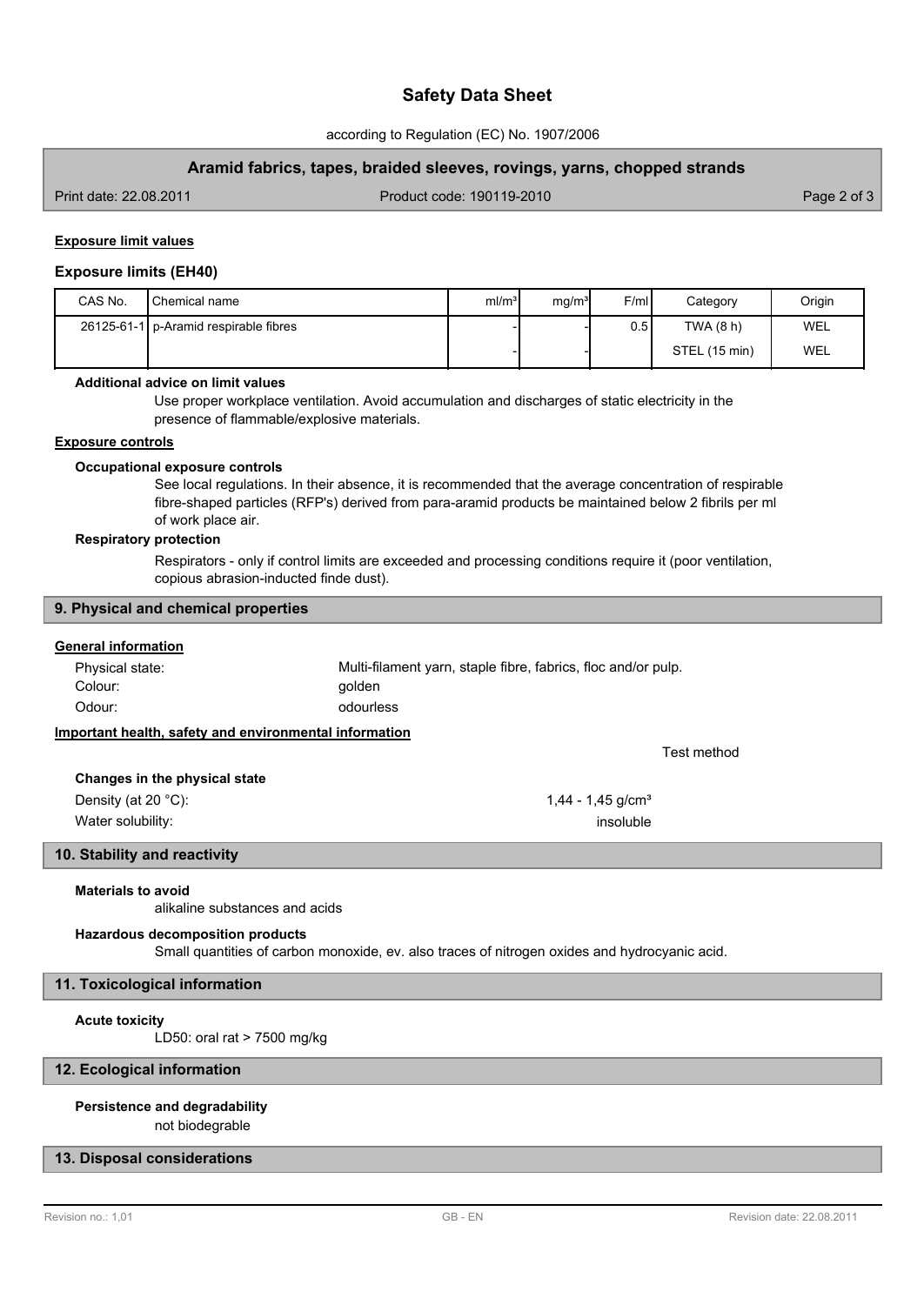# **Safety Data Sheet**

according to Regulation (EC) No. 1907/2006

## **Aramid fabrics, tapes, braided sleeves, rovings, yarns, chopped strands**

Print date: 22.08.2011 Product code: 190119-2010 Page 2 of 3

## **Exposure limit values**

#### **Exposure limits (EH40)**

| CAS No. | Chemical name                           | ml/m <sup>3</sup> | mq/m <sup>3</sup> | F/ml | Category      | Origin |
|---------|-----------------------------------------|-------------------|-------------------|------|---------------|--------|
|         | 26125-61-1   p-Aramid respirable fibres |                   |                   | 0.51 | TWA (8 h)     | WEL    |
|         |                                         |                   |                   |      | STEL (15 min) | WEL    |

#### **Additional advice on limit values**

Use proper workplace ventilation. Avoid accumulation and discharges of static electricity in the presence of flammable/explosive materials.

#### **Exposure controls**

#### **Occupational exposure controls**

See local regulations. In their absence, it is recommended that the average concentration of respirable fibre-shaped particles (RFP's) derived from para-aramid products be maintained below 2 fibrils per ml of work place air.

#### **Respiratory protection**

Respirators - only if control limits are exceeded and processing conditions require it (poor ventilation, copious abrasion-inducted finde dust).

#### **9. Physical and chemical properties**

#### **General information**

| Physical state: | Multi-filament varn, staple fibre, fabrics, floc and/or pulp. |
|-----------------|---------------------------------------------------------------|
| Colour:         | aolden                                                        |
| Odour:          | odourless                                                     |

# **Important health, safety and environmental information**

| Changes in the physical state                                                                                                                                                                                                                                                                                                      |  |
|------------------------------------------------------------------------------------------------------------------------------------------------------------------------------------------------------------------------------------------------------------------------------------------------------------------------------------|--|
| $\mathbb{R}$ $\mathbb{R}$ $\mathbb{R}$ $\mathbb{R}$ $\mathbb{R}$ $\mathbb{R}$ $\mathbb{R}$ $\mathbb{R}$ $\mathbb{R}$ $\mathbb{R}$ $\mathbb{R}$ $\mathbb{R}$ $\mathbb{R}$ $\mathbb{R}$ $\mathbb{R}$ $\mathbb{R}$ $\mathbb{R}$ $\mathbb{R}$ $\mathbb{R}$ $\mathbb{R}$ $\mathbb{R}$ $\mathbb{R}$ $\mathbb{R}$ $\mathbb{R}$ $\mathbb{$ |  |

Density (at 20 °C):  $1,44 - 1,45$  g/cm<sup>3</sup> Water solubility: insoluble that the solubility: insoluble that the solubility: insoluble that the solubility:

# **10. Stability and reactivity**

#### **Materials to avoid**

alikaline substances and acids

#### **Hazardous decomposition products**

Small quantities of carbon monoxide, ev. also traces of nitrogen oxides and hydrocyanic acid.

# **11. Toxicological information**

#### **Acute toxicity**

LD50: oral rat > 7500 mg/kg

## **12. Ecological information**

#### **Persistence and degradability**

not biodegrable

# **13. Disposal considerations**

Test method